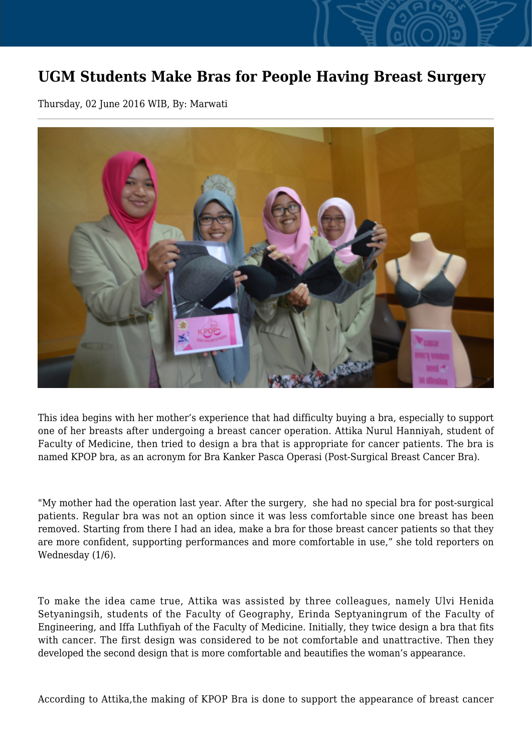## **UGM Students Make Bras for People Having Breast Surgery**

Thursday, 02 June 2016 WIB, By: Marwati



This idea begins with her mother's experience that had difficulty buying a bra, especially to support one of her breasts after undergoing a breast cancer operation. Attika Nurul Hanniyah, student of Faculty of Medicine, then tried to design a bra that is appropriate for cancer patients. The bra is named KPOP bra, as an acronym for Bra Kanker Pasca Operasi (Post-Surgical Breast Cancer Bra).

"My mother had the operation last year. After the surgery, she had no special bra for post-surgical patients. Regular bra was not an option since it was less comfortable since one breast has been removed. Starting from there I had an idea, make a bra for those breast cancer patients so that they are more confident, supporting performances and more comfortable in use," she told reporters on Wednesday (1/6).

To make the idea came true, Attika was assisted by three colleagues, namely Ulvi Henida Setyaningsih, students of the Faculty of Geography, Erinda Septyaningrum of the Faculty of Engineering, and Iffa Luthfiyah of the Faculty of Medicine. Initially, they twice design a bra that fits with cancer. The first design was considered to be not comfortable and unattractive. Then they developed the second design that is more comfortable and beautifies the woman's appearance.

According to Attika,the making of KPOP Bra is done to support the appearance of breast cancer